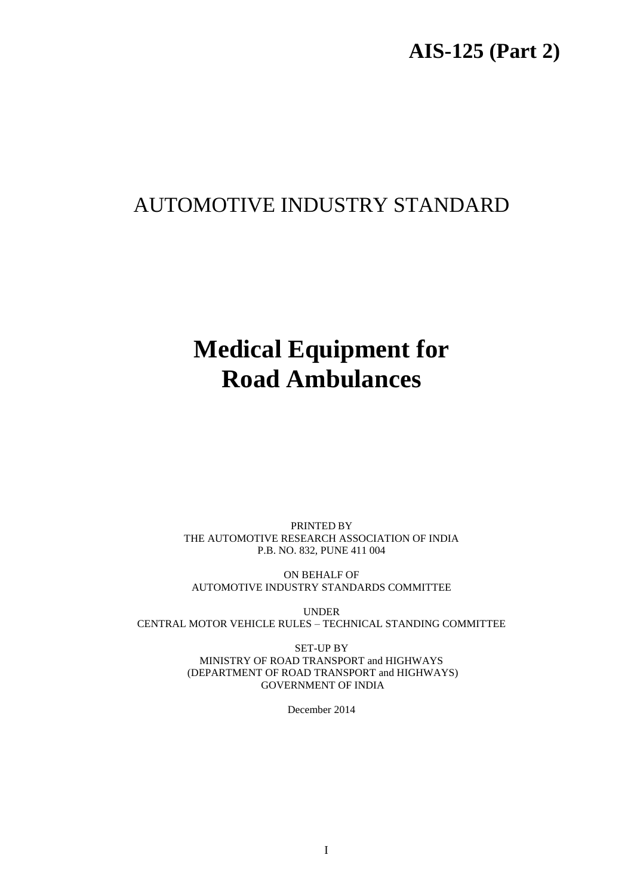# **AIS-125 (Part 2)**

# AUTOMOTIVE INDUSTRY STANDARD

# **Medical Equipment for Road Ambulances**

PRINTED BY THE AUTOMOTIVE RESEARCH ASSOCIATION OF INDIA P.B. NO. 832, PUNE 411 004

ON BEHALF OF AUTOMOTIVE INDUSTRY STANDARDS COMMITTEE

UNDER CENTRAL MOTOR VEHICLE RULES – TECHNICAL STANDING COMMITTEE

> SET-UP BY MINISTRY OF ROAD TRANSPORT and HIGHWAYS (DEPARTMENT OF ROAD TRANSPORT and HIGHWAYS) GOVERNMENT OF INDIA

> > December 2014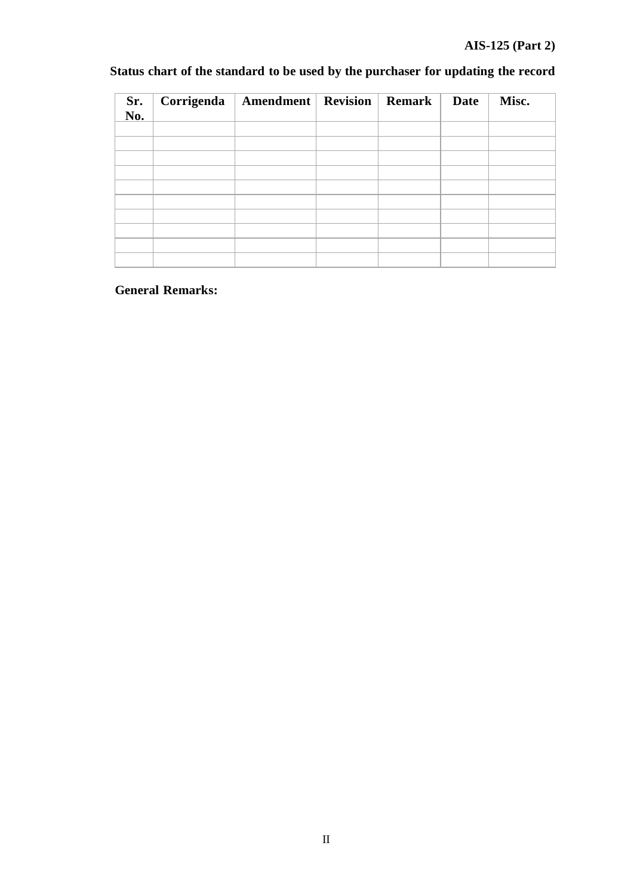## **AIS-125 (Part 2)**

| Sr.<br>No. | Corrigenda | <b>Amendment</b> Revision | Remark | <b>Date</b> | Misc. |
|------------|------------|---------------------------|--------|-------------|-------|
|            |            |                           |        |             |       |
|            |            |                           |        |             |       |
|            |            |                           |        |             |       |
|            |            |                           |        |             |       |
|            |            |                           |        |             |       |
|            |            |                           |        |             |       |
|            |            |                           |        |             |       |
|            |            |                           |        |             |       |
|            |            |                           |        |             |       |
|            |            |                           |        |             |       |

#### **Status chart of the standard to be used by the purchaser for updating the record**

## **General Remarks:**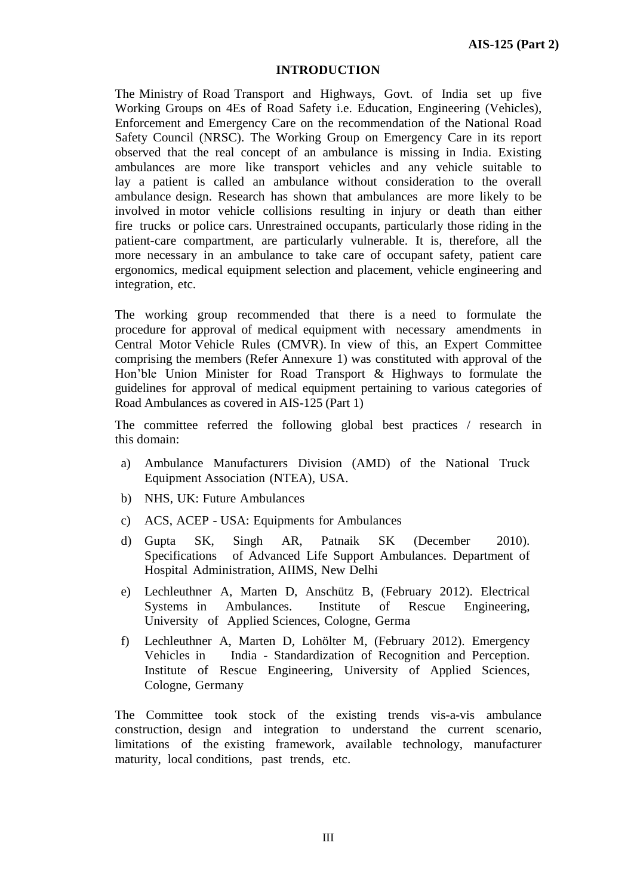#### **INTRODUCTION**

The Ministry of Road Transport and Highways, Govt. of India set up five Working Groups on 4Es of Road Safety i.e. Education, Engineering (Vehicles), Enforcement and Emergency Care on the recommendation of the National Road Safety Council (NRSC). The Working Group on Emergency Care in its report observed that the real concept of an ambulance is missing in India. Existing ambulances are more like transport vehicles and any vehicle suitable to lay a patient is called an ambulance without consideration to the overall ambulance design. Research has shown that ambulances are more likely to be involved in motor vehicle collisions resulting in injury or death than either fire trucks or police cars. Unrestrained occupants, particularly those riding in the patient-care compartment, are particularly vulnerable. It is, therefore, all the more necessary in an ambulance to take care of occupant safety, patient care ergonomics, medical equipment selection and placement, vehicle engineering and integration, etc.

The working group recommended that there is a need to formulate the procedure for approval of medical equipment with necessary amendments in Central Motor Vehicle Rules (CMVR). In view of this, an Expert Committee comprising the members (Refer Annexure 1) was constituted with approval of the Hon'ble Union Minister for Road Transport & Highways to formulate the guidelines for approval of medical equipment pertaining to various categories of Road Ambulances as covered in AIS-125 (Part 1)

The committee referred the following global best practices / research in this domain:

- a) Ambulance Manufacturers Division (AMD) of the National Truck Equipment Association (NTEA), USA.
- b) NHS, UK: Future Ambulances
- c) ACS, ACEP USA: Equipments for Ambulances
- d) Gupta SK, Singh AR, Patnaik SK (December 2010). Specifications of Advanced Life Support Ambulances. Department of Hospital Administration, AIIMS, New Delhi
- e) Lechleuthner A, Marten D, Anschütz B, (February 2012). Electrical Systems in Ambulances. Institute of Rescue Engineering, University of Applied Sciences, Cologne, Germa
- f) Lechleuthner A, Marten D, Lohölter M, (February 2012). Emergency Vehicles in India - Standardization of Recognition and Perception. Institute of Rescue Engineering, University of Applied Sciences, Cologne, Germany

The Committee took stock of the existing trends vis-a-vis ambulance construction, design and integration to understand the current scenario, limitations of the existing framework, available technology, manufacturer maturity, local conditions, past trends, etc.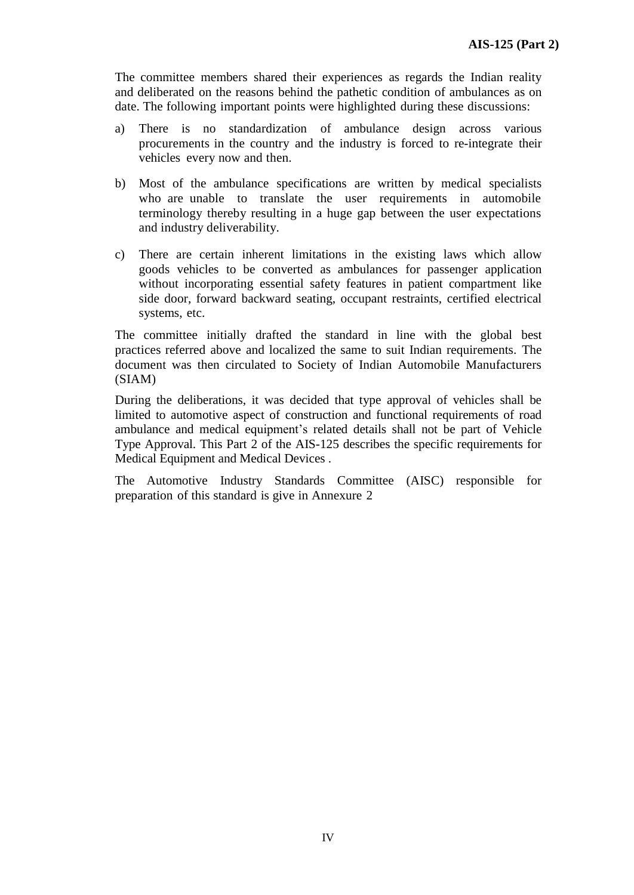The committee members shared their experiences as regards the Indian reality and deliberated on the reasons behind the pathetic condition of ambulances as on date. The following important points were highlighted during these discussions:

- a) There is no standardization of ambulance design across various procurements in the country and the industry is forced to re-integrate their vehicles every now and then.
- b) Most of the ambulance specifications are written by medical specialists who are unable to translate the user requirements in automobile terminology thereby resulting in a huge gap between the user expectations and industry deliverability.
- c) There are certain inherent limitations in the existing laws which allow goods vehicles to be converted as ambulances for passenger application without incorporating essential safety features in patient compartment like side door, forward backward seating, occupant restraints, certified electrical systems, etc.

The committee initially drafted the standard in line with the global best practices referred above and localized the same to suit Indian requirements. The document was then circulated to Society of Indian Automobile Manufacturers (SIAM)

During the deliberations, it was decided that type approval of vehicles shall be limited to automotive aspect of construction and functional requirements of road ambulance and medical equipment's related details shall not be part of Vehicle Type Approval. This Part 2 of the AIS-125 describes the specific requirements for Medical Equipment and Medical Devices .

The Automotive Industry Standards Committee (AISC) responsible for preparation of this standard is give in Annexure 2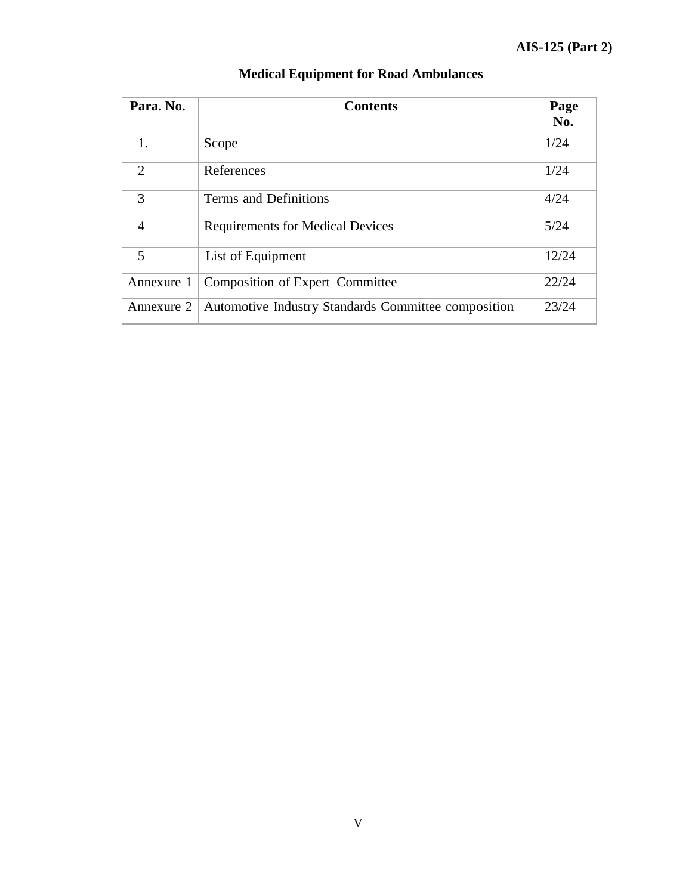| Para. No.                   | <b>Contents</b>                                     | Page<br>No. |
|-----------------------------|-----------------------------------------------------|-------------|
| $\mathbf{1}$ .              | Scope                                               | 1/24        |
| $\mathcal{D}_{\mathcal{L}}$ | References                                          | 1/24        |
| 3                           | Terms and Definitions                               | 4/24        |
| $\overline{4}$              | <b>Requirements for Medical Devices</b>             | 5/24        |
| 5                           | List of Equipment                                   | 12/24       |
| Annexure 1                  | <b>Composition of Expert Committee</b>              | 22/24       |
| Annexure 2                  | Automotive Industry Standards Committee composition | 23/24       |

#### **Medical Equipment for Road Ambulances**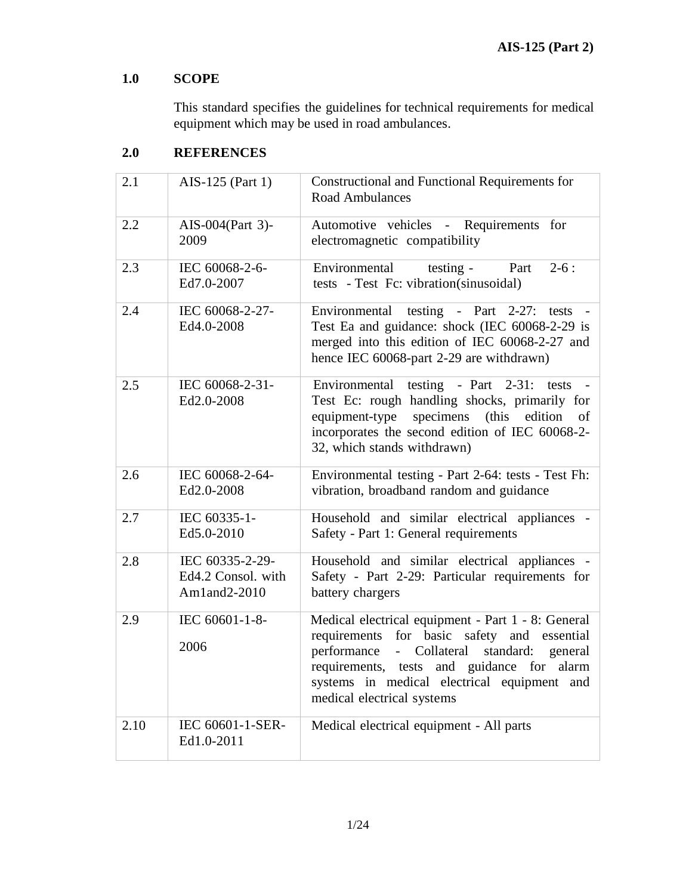# **1.0 SCOPE**

This standard specifies the guidelines for technical requirements for medical equipment which may be used in road ambulances.

# **2.0 REFERENCES**

| 2.1  | AIS-125 (Part 1)                                      | Constructional and Functional Requirements for<br><b>Road Ambulances</b>                                                                                                                                                                                                            |
|------|-------------------------------------------------------|-------------------------------------------------------------------------------------------------------------------------------------------------------------------------------------------------------------------------------------------------------------------------------------|
| 2.2  | AIS-004(Part 3)-<br>2009                              | Automotive vehicles - Requirements for<br>electromagnetic compatibility                                                                                                                                                                                                             |
| 2.3  | IEC 60068-2-6-<br>Ed7.0-2007                          | Environmental<br>testing -<br>$2-6:$<br>Part<br>tests - Test Fc: vibration(sinusoidal)                                                                                                                                                                                              |
| 2.4  | IEC 60068-2-27-<br>Ed4.0-2008                         | Environmental testing - Part 2-27: tests<br>Test Ea and guidance: shock (IEC 60068-2-29 is<br>merged into this edition of IEC 60068-2-27 and<br>hence IEC 60068-part 2-29 are withdrawn)                                                                                            |
| 2.5  | IEC 60068-2-31-<br>Ed2.0-2008                         | Environmental testing - Part 2-31: tests<br>Test Ec: rough handling shocks, primarily for<br>equipment-type<br>specimens (this<br>edition of<br>incorporates the second edition of IEC 60068-2-<br>32, which stands withdrawn)                                                      |
| 2.6  | IEC 60068-2-64-<br>Ed2.0-2008                         | Environmental testing - Part 2-64: tests - Test Fh:<br>vibration, broadband random and guidance                                                                                                                                                                                     |
| 2.7  | IEC 60335-1-<br>Ed5.0-2010                            | Household and similar electrical appliances -<br>Safety - Part 1: General requirements                                                                                                                                                                                              |
| 2.8  | IEC 60335-2-29-<br>Ed4.2 Consol. with<br>Am1and2-2010 | Household and similar electrical appliances -<br>Safety - Part 2-29: Particular requirements for<br>battery chargers                                                                                                                                                                |
| 2.9  | IEC 60601-1-8-<br>2006                                | Medical electrical equipment - Part 1 - 8: General<br>requirements for basic safety and essential<br>performance<br>- Collateral<br>standard:<br>general<br>requirements, tests and guidance for alarm<br>systems in medical electrical equipment and<br>medical electrical systems |
| 2.10 | IEC 60601-1-SER-<br>Ed1.0-2011                        | Medical electrical equipment - All parts                                                                                                                                                                                                                                            |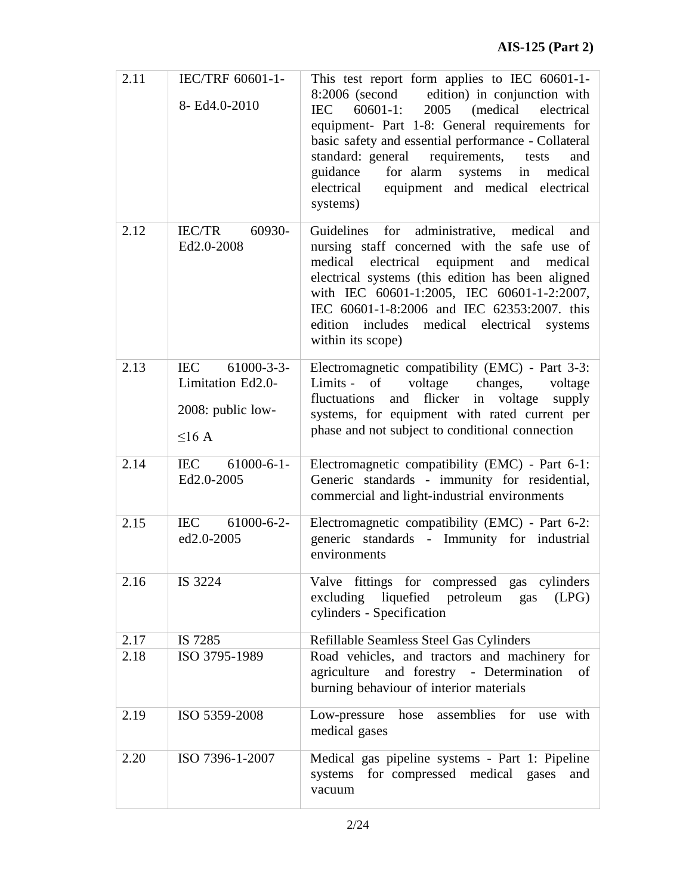| 2.11 | IEC/TRF 60601-1-<br>8- Ed4.0-2010                                       | This test report form applies to IEC 60601-1-<br>8:2006 (second edition) in conjunction with<br>(medical electrical<br>IEC<br>$60601-1$ :<br>2005<br>equipment- Part 1-8: General requirements for<br>basic safety and essential performance - Collateral<br>standard: general requirements, tests<br>and<br>guidance<br>for alarm systems in<br>medical<br>equipment and medical electrical<br>electrical<br>systems) |
|------|-------------------------------------------------------------------------|------------------------------------------------------------------------------------------------------------------------------------------------------------------------------------------------------------------------------------------------------------------------------------------------------------------------------------------------------------------------------------------------------------------------|
| 2.12 | 60930-<br><b>IEC/TR</b><br>Ed2.0-2008                                   | Guidelines for administrative, medical<br>and<br>nursing staff concerned with the safe use of<br>electrical equipment and medical<br>medical<br>electrical systems (this edition has been aligned<br>with IEC 60601-1:2005, IEC 60601-1-2:2007,<br>IEC 60601-1-8:2006 and IEC 62353:2007. this<br>edition includes medical electrical systems<br>within its scope)                                                     |
| 2.13 | IEC 61000-3-3-<br>Limitation Ed2.0-<br>2008: public low-<br>$\leq$ 16 A | Electromagnetic compatibility (EMC) - Part 3-3:<br>Limits - of<br>voltage<br>changes,<br>voltage<br>and flicker in voltage<br>fluctuations<br>supply<br>systems, for equipment with rated current per<br>phase and not subject to conditional connection                                                                                                                                                               |
| 2.14 | IEC 61000-6-1-<br>Ed2.0-2005                                            | Electromagnetic compatibility (EMC) - Part 6-1:<br>Generic standards - immunity for residential,<br>commercial and light-industrial environments                                                                                                                                                                                                                                                                       |
| 2.15 | $61000 - 6 - 2$<br><b>IEC</b><br>ed2.0-2005                             | Electromagnetic compatibility (EMC) - Part 6-2:<br>generic standards - Immunity for industrial<br>environments                                                                                                                                                                                                                                                                                                         |
| 2.16 | IS 3224                                                                 | Valve fittings for compressed gas cylinders<br>excluding liquefied petroleum gas<br>(LPG)<br>cylinders - Specification                                                                                                                                                                                                                                                                                                 |
| 2.17 | IS 7285                                                                 | Refillable Seamless Steel Gas Cylinders                                                                                                                                                                                                                                                                                                                                                                                |
| 2.18 | ISO 3795-1989                                                           | Road vehicles, and tractors and machinery for<br>and forestry - Determination<br>agriculture<br>of<br>burning behaviour of interior materials                                                                                                                                                                                                                                                                          |
| 2.19 | ISO 5359-2008                                                           | Low-pressure<br>assemblies<br>hose<br>for<br>use with<br>medical gases                                                                                                                                                                                                                                                                                                                                                 |
| 2.20 | ISO 7396-1-2007                                                         | Medical gas pipeline systems - Part 1: Pipeline<br>systems for compressed medical gases<br>and<br>vacuum                                                                                                                                                                                                                                                                                                               |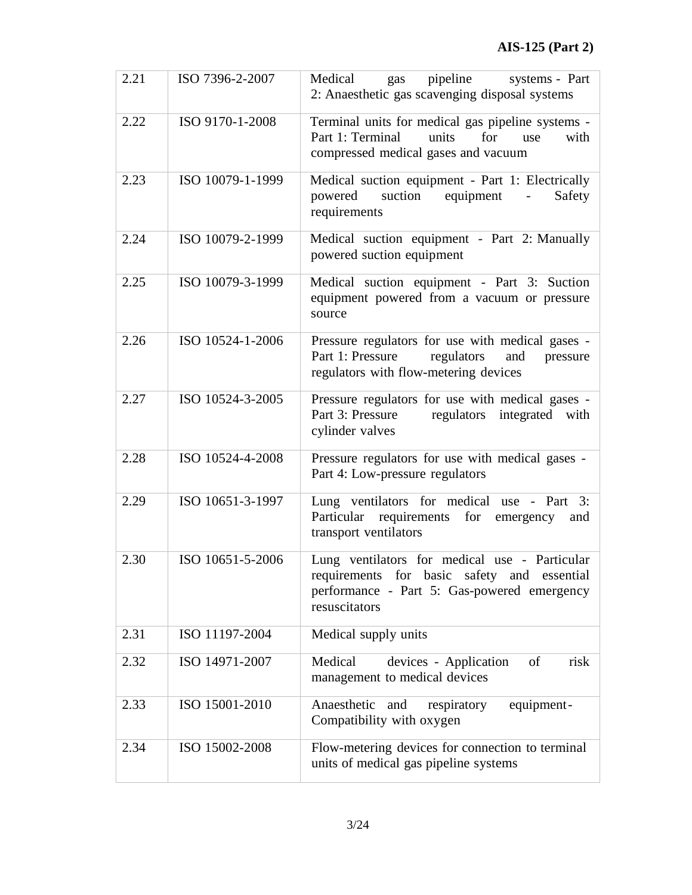| 2.21 | ISO 7396-2-2007  | pipeline<br>Medical<br>systems - Part<br>gas<br>2: Anaesthetic gas scavenging disposal systems                                                               |
|------|------------------|--------------------------------------------------------------------------------------------------------------------------------------------------------------|
| 2.22 | ISO 9170-1-2008  | Terminal units for medical gas pipeline systems -<br>Part 1: Terminal<br>with<br>units<br>for<br>use<br>compressed medical gases and vacuum                  |
| 2.23 | ISO 10079-1-1999 | Medical suction equipment - Part 1: Electrically<br>powered suction equipment<br>Safety<br>requirements                                                      |
| 2.24 | ISO 10079-2-1999 | Medical suction equipment - Part 2: Manually<br>powered suction equipment                                                                                    |
| 2.25 | ISO 10079-3-1999 | Medical suction equipment - Part 3: Suction<br>equipment powered from a vacuum or pressure<br>source                                                         |
| 2.26 | ISO 10524-1-2006 | Pressure regulators for use with medical gases -<br>Part 1: Pressure<br>regulators<br>and<br>pressure<br>regulators with flow-metering devices               |
| 2.27 | ISO 10524-3-2005 | Pressure regulators for use with medical gases -<br>Part 3: Pressure<br>regulators integrated<br>with<br>cylinder valves                                     |
| 2.28 | ISO 10524-4-2008 | Pressure regulators for use with medical gases -<br>Part 4: Low-pressure regulators                                                                          |
| 2.29 | ISO 10651-3-1997 | Lung ventilators for medical use - Part 3:<br>Particular requirements<br>for emergency<br>and<br>transport ventilators                                       |
| 2.30 | ISO 10651-5-2006 | Lung ventilators for medical use - Particular<br>requirements for basic safety and essential<br>performance - Part 5: Gas-powered emergency<br>resuscitators |
| 2.31 | ISO 11197-2004   | Medical supply units                                                                                                                                         |
| 2.32 | ISO 14971-2007   | Medical<br>risk<br>devices - Application<br>of<br>management to medical devices                                                                              |
| 2.33 | ISO 15001-2010   | Anaesthetic and<br>respiratory<br>equipment-<br>Compatibility with oxygen                                                                                    |
| 2.34 | ISO 15002-2008   | Flow-metering devices for connection to terminal<br>units of medical gas pipeline systems                                                                    |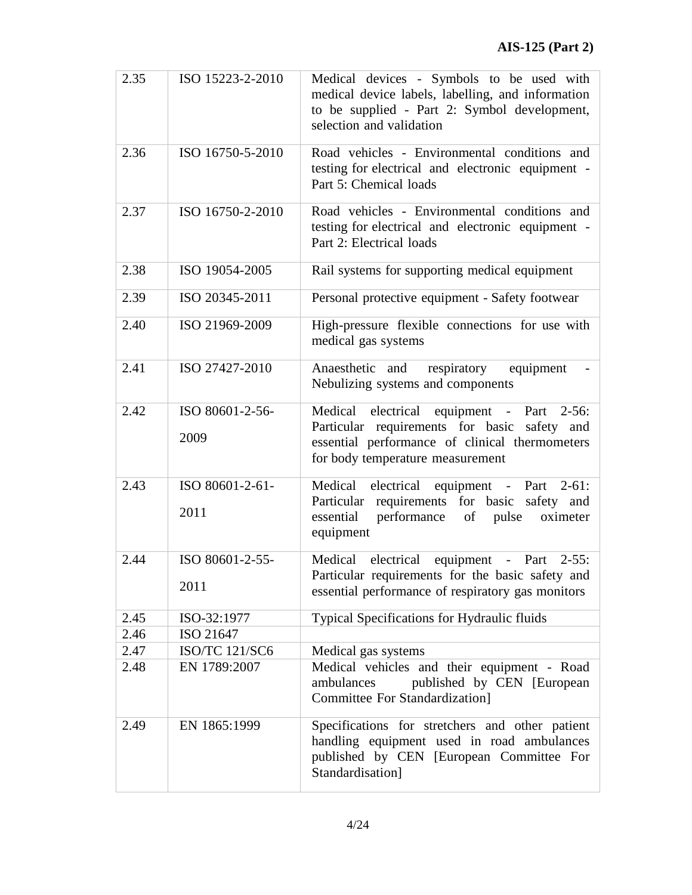| 2.35 | ISO 15223-2-2010        | Medical devices - Symbols to be used with<br>medical device labels, labelling, and information<br>to be supplied - Part 2: Symbol development,<br>selection and validation      |
|------|-------------------------|---------------------------------------------------------------------------------------------------------------------------------------------------------------------------------|
| 2.36 | ISO 16750-5-2010        | Road vehicles - Environmental conditions and<br>testing for electrical and electronic equipment -<br>Part 5: Chemical loads                                                     |
| 2.37 | ISO 16750-2-2010        | Road vehicles - Environmental conditions and<br>testing for electrical and electronic equipment -<br>Part 2: Electrical loads                                                   |
| 2.38 | ISO 19054-2005          | Rail systems for supporting medical equipment                                                                                                                                   |
| 2.39 | ISO 20345-2011          | Personal protective equipment - Safety footwear                                                                                                                                 |
| 2.40 | ISO 21969-2009          | High-pressure flexible connections for use with<br>medical gas systems                                                                                                          |
| 2.41 | ISO 27427-2010          | respiratory<br>equipment<br>Anaesthetic and<br>Nebulizing systems and components                                                                                                |
| 2.42 | ISO 80601-2-56-<br>2009 | Medical electrical equipment - Part 2-56:<br>Particular requirements for basic safety and<br>essential performance of clinical thermometers<br>for body temperature measurement |
| 2.43 | ISO 80601-2-61-<br>2011 | Medical electrical equipment - Part<br>$2-61:$<br>Particular requirements for basic safety and<br>performance<br>essential<br>of<br>pulse<br>oximeter<br>equipment              |
| 2.44 | ISO 80601-2-55-<br>2011 | Medical electrical equipment - Part 2-55:<br>Particular requirements for the basic safety and<br>essential performance of respiratory gas monitors                              |
| 2.45 | ISO-32:1977             | Typical Specifications for Hydraulic fluids                                                                                                                                     |
| 2.46 | ISO 21647               |                                                                                                                                                                                 |
| 2.47 | <b>ISO/TC 121/SC6</b>   | Medical gas systems                                                                                                                                                             |
| 2.48 | EN 1789:2007            | Medical vehicles and their equipment - Road<br>published by CEN [European<br>ambulances<br><b>Committee For Standardization</b> ]                                               |
| 2.49 | EN 1865:1999            | Specifications for stretchers and other patient<br>handling equipment used in road ambulances<br>published by CEN [European Committee For<br>Standardisation]                   |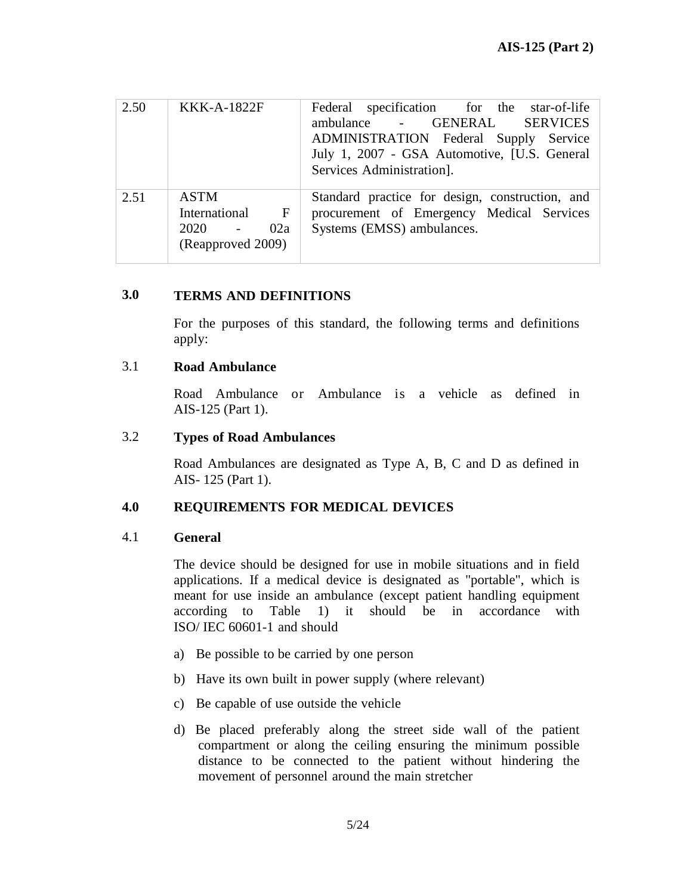| 2.50 | <b>KKK-A-1822F</b>                                                                     | Federal specification for the star-of-life<br>ambulance - GENERAL SERVICES<br>ADMINISTRATION Federal Supply Service<br>July 1, 2007 - GSA Automotive, [U.S. General<br>Services Administration]. |
|------|----------------------------------------------------------------------------------------|--------------------------------------------------------------------------------------------------------------------------------------------------------------------------------------------------|
| 2.51 | <b>ASTM</b><br>International<br>$\mathbf{F}$<br>$2020 - 5$<br>02a<br>(Reapproved 2009) | Standard practice for design, construction, and<br>procurement of Emergency Medical Services<br>Systems (EMSS) ambulances.                                                                       |

#### **3.0 TERMS AND DEFINITIONS**

For the purposes of this standard, the following terms and definitions apply:

#### 3.1 **Road Ambulance**

Road Ambulance or Ambulance is a vehicle as defined in AIS-125 (Part 1).

#### 3.2 **Types of Road Ambulances**

Road Ambulances are designated as Type A, B, C and D as defined in AIS- 125 (Part 1).

#### **4.0 REQUIREMENTS FOR MEDICAL DEVICES**

#### 4.1 **General**

The device should be designed for use in mobile situations and in field applications. If a medical device is designated as "portable", which is meant for use inside an ambulance (except patient handling equipment according to Table 1) it should be in accordance with ISO/ IEC 60601-1 and should

- a) Be possible to be carried by one person
- b) Have its own built in power supply (where relevant)
- c) Be capable of use outside the vehicle
- d) Be placed preferably along the street side wall of the patient compartment or along the ceiling ensuring the minimum possible distance to be connected to the patient without hindering the movement of personnel around the main stretcher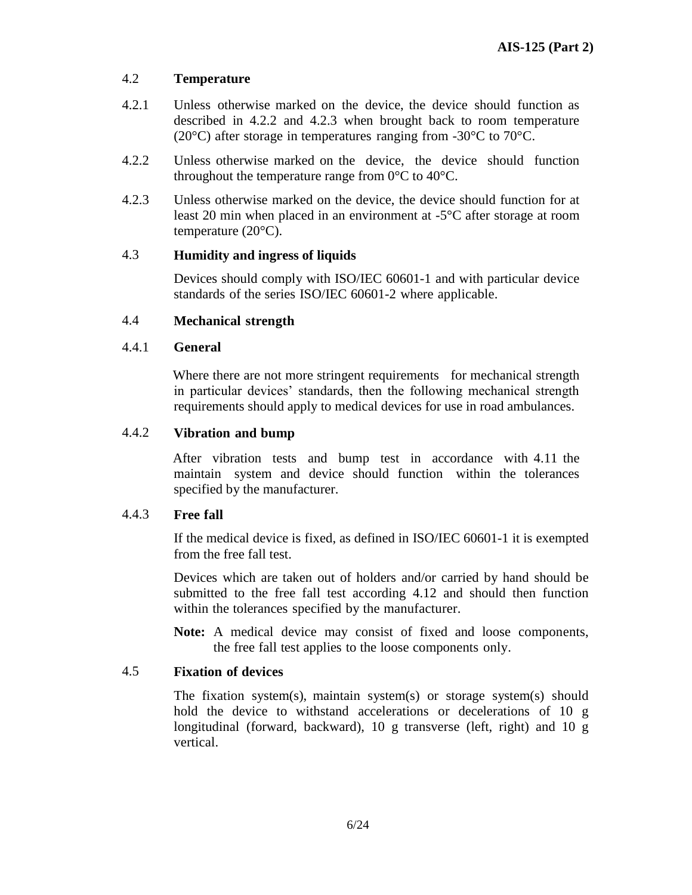#### 4.2 **Temperature**

- 4.2.1 Unless otherwise marked on the device, the device should function as described in 4.2.2 and 4.2.3 when brought back to room temperature (20°C) after storage in temperatures ranging from -30°C to 70°C.
- 4.2.2 Unless otherwise marked on the device, the device should function throughout the temperature range from  $0^{\circ}$ C to  $40^{\circ}$ C.
- 4.2.3 Unless otherwise marked on the device, the device should function for at least 20 min when placed in an environment at -5°C after storage at room temperature (20°C).

#### 4.3 **Humidity and ingress of liquids**

Devices should comply with ISO/IEC 60601-1 and with particular device standards of the series ISO/IEC 60601-2 where applicable.

#### 4.4 **Mechanical strength**

#### 4.4.1 **General**

Where there are not more stringent requirements for mechanical strength in particular devices' standards, then the following mechanical strength requirements should apply to medical devices for use in road ambulances.

#### 4.4.2 **Vibration and bump**

After vibration tests and bump test in accordance with 4.11 the maintain system and device should function within the tolerances specified by the manufacturer.

#### 4.4.3 **Free fall**

If the medical device is fixed, as defined in ISO/IEC 60601-1 it is exempted from the free fall test.

Devices which are taken out of holders and/or carried by hand should be submitted to the free fall test according 4.12 and should then function within the tolerances specified by the manufacturer.

**Note:** A medical device may consist of fixed and loose components, the free fall test applies to the loose components only.

#### 4.5 **Fixation of devices**

The fixation system(s), maintain system(s) or storage system(s) should hold the device to withstand accelerations or decelerations of 10 g longitudinal (forward, backward), 10 g transverse (left, right) and 10 g vertical.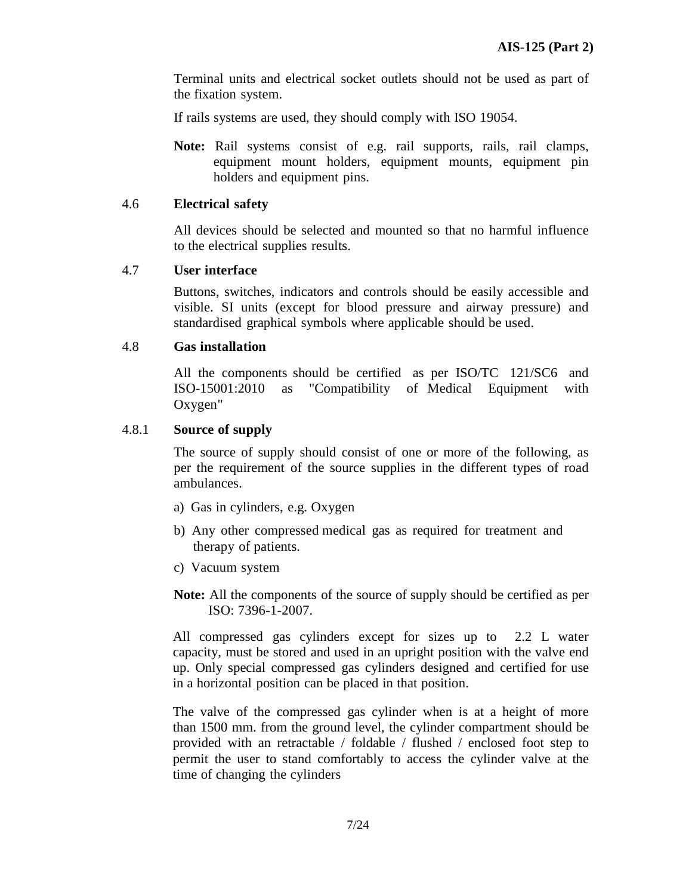Terminal units and electrical socket outlets should not be used as part of the fixation system.

If rails systems are used, they should comply with ISO 19054.

**Note:** Rail systems consist of e.g. rail supports, rails, rail clamps, equipment mount holders, equipment mounts, equipment pin holders and equipment pins.

#### 4.6 **Electrical safety**

All devices should be selected and mounted so that no harmful influence to the electrical supplies results.

#### 4.7 **User interface**

Buttons, switches, indicators and controls should be easily accessible and visible. SI units (except for blood pressure and airway pressure) and standardised graphical symbols where applicable should be used.

#### 4.8 **Gas installation**

All the components should be certified as per ISO/TC 121/SC6 and ISO-15001:2010 as "Compatibility of Medical Equipment with Oxygen"

#### 4.8.1 **Source of supply**

The source of supply should consist of one or more of the following, as per the requirement of the source supplies in the different types of road ambulances.

- a) Gas in cylinders, e.g. Oxygen
- b) Any other compressed medical gas as required for treatment and therapy of patients.
- c) Vacuum system
- **Note:** All the components of the source of supply should be certified as per ISO: 7396-1-2007.

All compressed gas cylinders except for sizes up to 2.2 L water capacity, must be stored and used in an upright position with the valve end up. Only special compressed gas cylinders designed and certified for use in a horizontal position can be placed in that position.

The valve of the compressed gas cylinder when is at a height of more than 1500 mm. from the ground level, the cylinder compartment should be provided with an retractable / foldable / flushed / enclosed foot step to permit the user to stand comfortably to access the cylinder valve at the time of changing the cylinders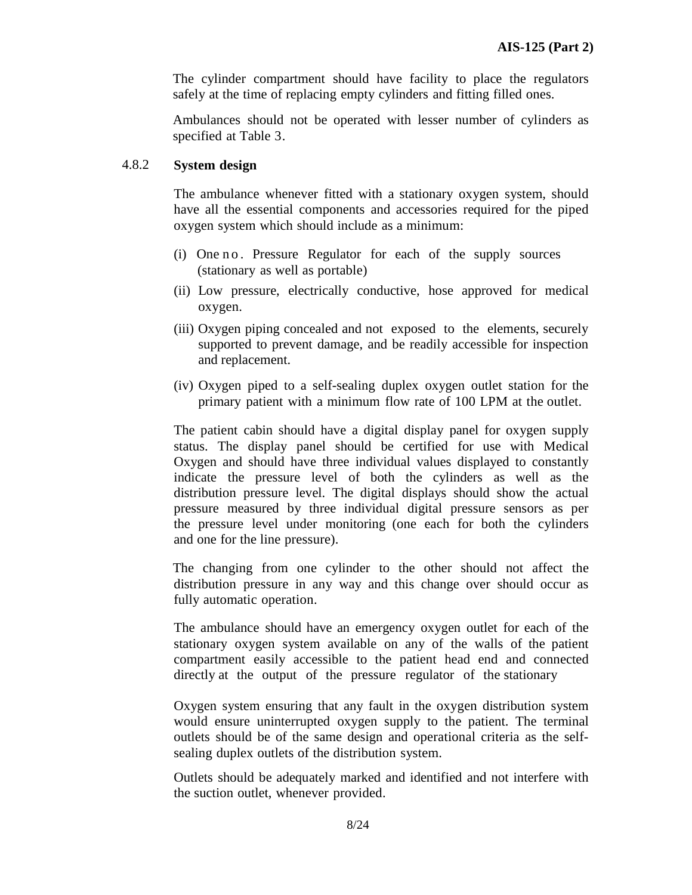The cylinder compartment should have facility to place the regulators safely at the time of replacing empty cylinders and fitting filled ones.

Ambulances should not be operated with lesser number of cylinders as specified at Table 3.

#### 4.8.2 **System design**

The ambulance whenever fitted with a stationary oxygen system, should have all the essential components and accessories required for the piped oxygen system which should include as a minimum:

- (i) One no. Pressure Regulator for each of the supply sources (stationary as well as portable)
- (ii) Low pressure, electrically conductive, hose approved for medical oxygen.
- (iii) Oxygen piping concealed and not exposed to the elements, securely supported to prevent damage, and be readily accessible for inspection and replacement.
- (iv) Oxygen piped to a self-sealing duplex oxygen outlet station for the primary patient with a minimum flow rate of 100 LPM at the outlet.

The patient cabin should have a digital display panel for oxygen supply status. The display panel should be certified for use with Medical Oxygen and should have three individual values displayed to constantly indicate the pressure level of both the cylinders as well as the distribution pressure level. The digital displays should show the actual pressure measured by three individual digital pressure sensors as per the pressure level under monitoring (one each for both the cylinders and one for the line pressure).

The changing from one cylinder to the other should not affect the distribution pressure in any way and this change over should occur as fully automatic operation.

The ambulance should have an emergency oxygen outlet for each of the stationary oxygen system available on any of the walls of the patient compartment easily accessible to the patient head end and connected directly at the output of the pressure regulator of the stationary

Oxygen system ensuring that any fault in the oxygen distribution system would ensure uninterrupted oxygen supply to the patient. The terminal outlets should be of the same design and operational criteria as the selfsealing duplex outlets of the distribution system.

Outlets should be adequately marked and identified and not interfere with the suction outlet, whenever provided.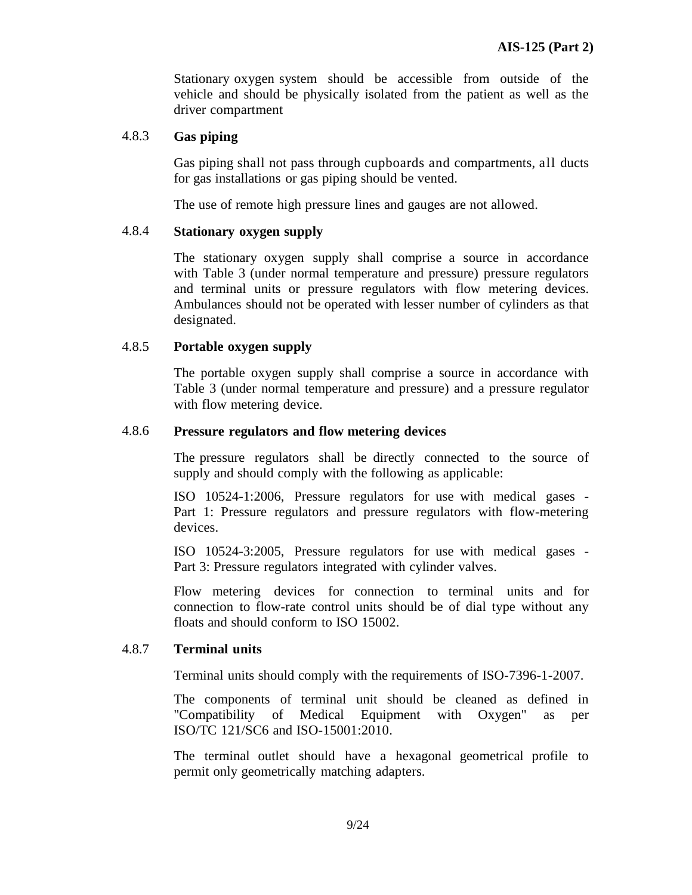Stationary oxygen system should be accessible from outside of the vehicle and should be physically isolated from the patient as well as the driver compartment

#### 4.8.3 **Gas piping**

Gas piping shall not pass through cupboards and compartments, all ducts for gas installations or gas piping should be vented.

The use of remote high pressure lines and gauges are not allowed.

#### 4.8.4 **Stationary oxygen supply**

The stationary oxygen supply shall comprise a source in accordance with Table 3 (under normal temperature and pressure) pressure regulators and terminal units or pressure regulators with flow metering devices. Ambulances should not be operated with lesser number of cylinders as that designated.

#### 4.8.5 **Portable oxygen supply**

The portable oxygen supply shall comprise a source in accordance with Table 3 (under normal temperature and pressure) and a pressure regulator with flow metering device.

#### 4.8.6 **Pressure regulators and flow metering devices**

The pressure regulators shall be directly connected to the source of supply and should comply with the following as applicable:

ISO 10524-1:2006, Pressure regulators for use with medical gases - Part 1: Pressure regulators and pressure regulators with flow-metering devices.

ISO 10524-3:2005, Pressure regulators for use with medical gases - Part 3: Pressure regulators integrated with cylinder valves.

Flow metering devices for connection to terminal units and for connection to flow-rate control units should be of dial type without any floats and should conform to ISO 15002.

#### 4.8.7 **Terminal units**

Terminal units should comply with the requirements of ISO-7396-1-2007.

The components of terminal unit should be cleaned as defined in "Compatibility of Medical Equipment with Oxygen" as per ISO/TC 121/SC6 and ISO-15001:2010.

The terminal outlet should have a hexagonal geometrical profile to permit only geometrically matching adapters.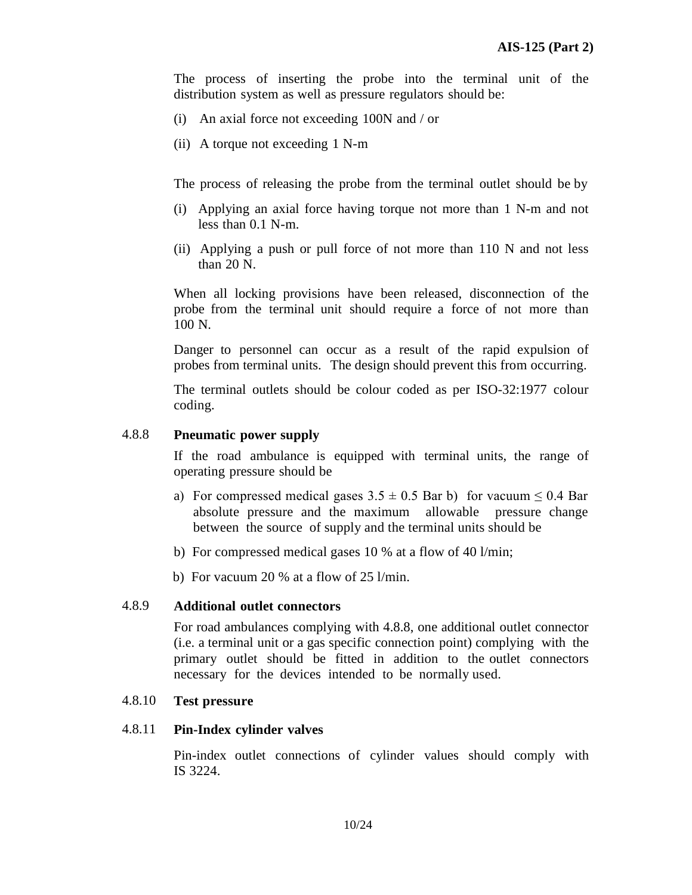The process of inserting the probe into the terminal unit of the distribution system as well as pressure regulators should be:

- (i) An axial force not exceeding 100N and / or
- (ii) A torque not exceeding 1 N-m

The process of releasing the probe from the terminal outlet should be by

- (i) Applying an axial force having torque not more than 1 N-m and not less than 0.1 N-m.
- (ii) Applying a push or pull force of not more than 110 N and not less than 20 N.

When all locking provisions have been released, disconnection of the probe from the terminal unit should require a force of not more than 100 N.

Danger to personnel can occur as a result of the rapid expulsion of probes from terminal units. The design should prevent this from occurring.

The terminal outlets should be colour coded as per ISO-32:1977 colour coding.

#### 4.8.8 **Pneumatic power supply**

If the road ambulance is equipped with terminal units, the range of operating pressure should be

- a) For compressed medical gases  $3.5 \pm 0.5$  Bar b) for vacuum  $\leq 0.4$  Bar absolute pressure and the maximum allowable pressure change between the source of supply and the terminal units should be
- b) For compressed medical gases 10 % at a flow of 40 l/min;
- b) For vacuum 20 % at a flow of 25 l/min.

#### 4.8.9 **Additional outlet connectors**

For road ambulances complying with 4.8.8, one additional outlet connector (i.e. a terminal unit or a gas specific connection point) complying with the primary outlet should be fitted in addition to the outlet connectors necessary for the devices intended to be normally used.

#### 4.8.10 **Test pressure**

#### 4.8.11 **Pin-Index cylinder valves**

Pin-index outlet connections of cylinder values should comply with IS 3224.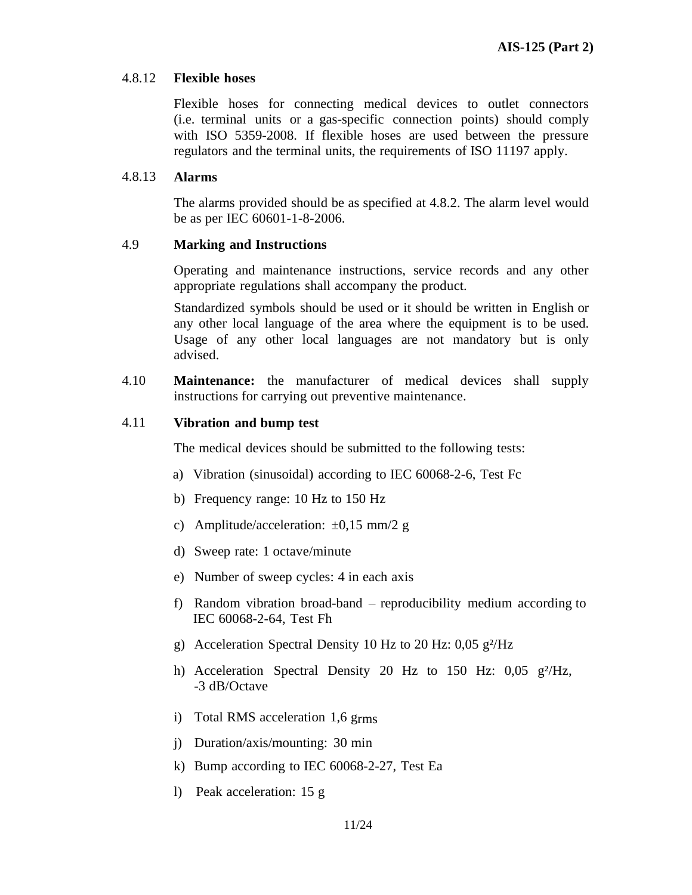#### 4.8.12 **Flexible hoses**

Flexible hoses for connecting medical devices to outlet connectors (i.e. terminal units or a gas-specific connection points) should comply with ISO 5359-2008. If flexible hoses are used between the pressure regulators and the terminal units, the requirements of ISO 11197 apply.

#### 4.8.13 **Alarms**

The alarms provided should be as specified at 4.8.2. The alarm level would be as per IEC 60601-1-8-2006.

#### 4.9 **Marking and Instructions**

Operating and maintenance instructions, service records and any other appropriate regulations shall accompany the product.

Standardized symbols should be used or it should be written in English or any other local language of the area where the equipment is to be used. Usage of any other local languages are not mandatory but is only advised.

4.10 **Maintenance:** the manufacturer of medical devices shall supply instructions for carrying out preventive maintenance.

#### 4.11 **Vibration and bump test**

The medical devices should be submitted to the following tests:

- a) Vibration (sinusoidal) according to IEC 60068-2-6, Test Fc
- b) Frequency range: 10 Hz to 150 Hz
- c) Amplitude/acceleration: ±0,15 mm/2 g
- d) Sweep rate: 1 octave/minute
- e) Number of sweep cycles: 4 in each axis
- f) Random vibration broad-band reproducibility medium according to IEC 60068-2-64, Test Fh
- g) Acceleration Spectral Density 10 Hz to 20 Hz:  $0.05$  g<sup>2</sup>/Hz
- h) Acceleration Spectral Density 20 Hz to 150 Hz: 0,05 g<sup>2</sup>/Hz, -3 dB/Octave
- i) Total RMS acceleration 1,6 grms
- j) Duration/axis/mounting: 30 min
- k) Bump according to IEC 60068-2-27, Test Ea
- l) Peak acceleration: 15 g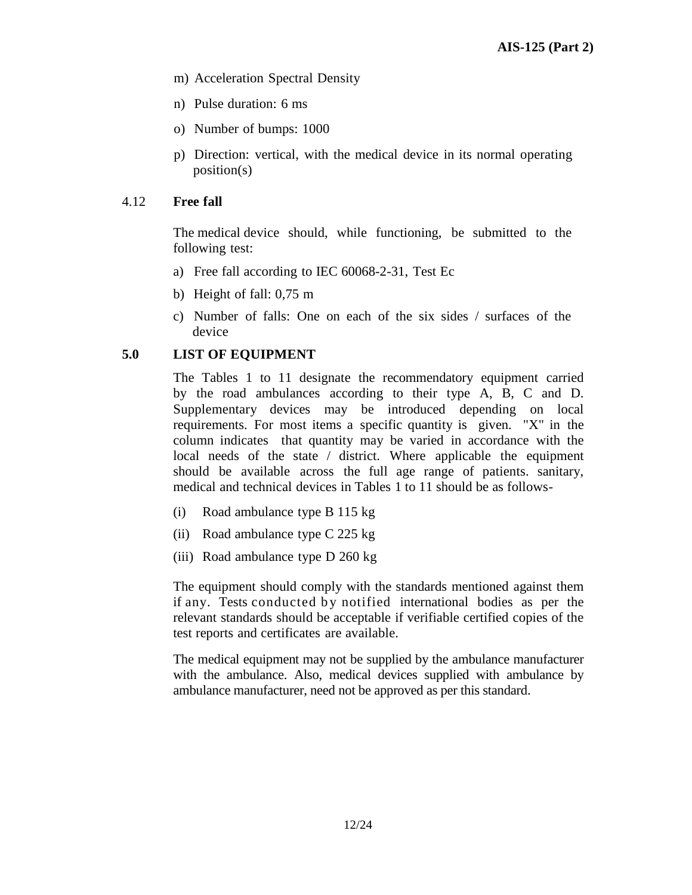- m) Acceleration Spectral Density
- n) Pulse duration: 6 ms
- o) Number of bumps: 1000
- p) Direction: vertical, with the medical device in its normal operating position(s)

#### 4.12 **Free fall**

The medical device should, while functioning, be submitted to the following test:

- a) Free fall according to IEC 60068-2-31, Test Ec
- b) Height of fall: 0,75 m
- c) Number of falls: One on each of the six sides / surfaces of the device

#### **5.0 LIST OF EQUIPMENT**

The Tables 1 to 11 designate the recommendatory equipment carried by the road ambulances according to their type A, B, C and D. Supplementary devices may be introduced depending on local requirements. For most items a specific quantity is given. "X" in the column indicates that quantity may be varied in accordance with the local needs of the state / district. Where applicable the equipment should be available across the full age range of patients. sanitary, medical and technical devices in Tables 1 to 11 should be as follows-

- (i) Road ambulance type B 115 kg
- (ii) Road ambulance type C 225 kg
- (iii) Road ambulance type D 260 kg

The equipment should comply with the standards mentioned against them if any. Tests conducted by notified international bodies as per the relevant standards should be acceptable if verifiable certified copies of the test reports and certificates are available.

The medical equipment may not be supplied by the ambulance manufacturer with the ambulance. Also, medical devices supplied with ambulance by ambulance manufacturer, need not be approved as per this standard.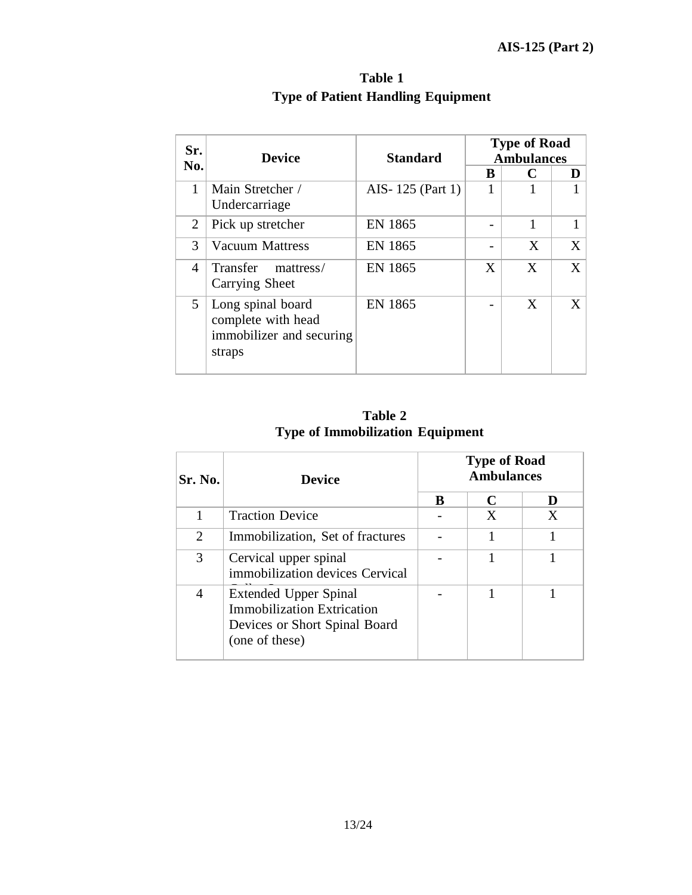| Sr. |                                                                               |                  |   | <b>Type of Road</b> |   |
|-----|-------------------------------------------------------------------------------|------------------|---|---------------------|---|
| No. | <b>Device</b>                                                                 | <b>Standard</b>  |   | <b>Ambulances</b>   |   |
|     |                                                                               |                  | B | C                   | D |
| 1   | Main Stretcher /<br>Undercarriage                                             | AIS-125 (Part 1) |   |                     |   |
| 2   | Pick up stretcher                                                             | EN 1865          |   | 1                   |   |
| 3   | <b>Vacuum Mattress</b>                                                        | <b>EN 1865</b>   |   | X                   | X |
| 4   | Transfer<br>mattress/<br>Carrying Sheet                                       | EN 1865          | X | X                   | X |
| 5   | Long spinal board<br>complete with head<br>immobilizer and securing<br>straps | <b>EN 1865</b>   |   | X                   | X |

**Table 1 Type of Patient Handling Equipment**

**Table 2 Type of Immobilization Equipment**

| Sr. No. | <b>Device</b>                                                                                                 | <b>Type of Road</b><br><b>Ambulances</b> |   |   |
|---------|---------------------------------------------------------------------------------------------------------------|------------------------------------------|---|---|
|         |                                                                                                               | B                                        | C | D |
|         | <b>Traction Device</b>                                                                                        |                                          | X | X |
| 2       | Immobilization, Set of fractures                                                                              |                                          | 1 |   |
| 3       | Cervical upper spinal<br>immobilization devices Cervical                                                      |                                          |   |   |
| 4       | Extended Upper Spinal<br><b>Immobilization Extrication</b><br>Devices or Short Spinal Board<br>(one of these) |                                          |   |   |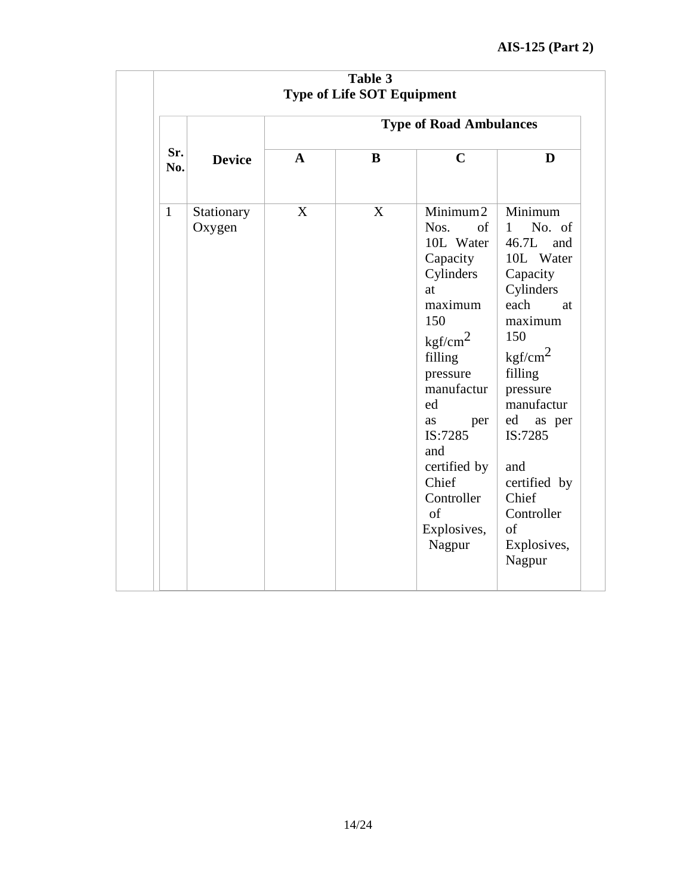## **AIS-125 (Part 2)**

|              | Table 3<br><b>Type of Life SOT Equipment</b> |                                |   |                                                                                                                                                                                                                                                             |                                                                                                                                                                                                                                                                                             |  |  |  |
|--------------|----------------------------------------------|--------------------------------|---|-------------------------------------------------------------------------------------------------------------------------------------------------------------------------------------------------------------------------------------------------------------|---------------------------------------------------------------------------------------------------------------------------------------------------------------------------------------------------------------------------------------------------------------------------------------------|--|--|--|
|              |                                              | <b>Type of Road Ambulances</b> |   |                                                                                                                                                                                                                                                             |                                                                                                                                                                                                                                                                                             |  |  |  |
| Sr.<br>No.   | <b>Device</b>                                | $\mathbf A$                    | B | $\mathbf C$                                                                                                                                                                                                                                                 | D                                                                                                                                                                                                                                                                                           |  |  |  |
| $\mathbf{1}$ | Stationary<br>Oxygen                         | X                              | X | Minimum2<br>Nos.<br>of<br>10L Water<br>Capacity<br>Cylinders<br>at<br>maximum<br>150<br>kgf/cm <sup>2</sup><br>filling<br>pressure<br>manufactur<br>ed<br>as<br>per<br>IS:7285<br>and<br>certified by<br>Chief<br>Controller<br>of<br>Explosives,<br>Nagpur | Minimum<br>No. of<br>$\mathbf{1}$<br>46.7L<br>and<br>10L Water<br>Capacity<br>Cylinders<br>each<br>at<br>maximum<br>150<br>kgf/cm <sup>2</sup><br>filling<br>pressure<br>manufactur<br>ed<br>as per<br>IS:7285<br>and<br>certified by<br>Chief<br>Controller<br>of<br>Explosives,<br>Nagpur |  |  |  |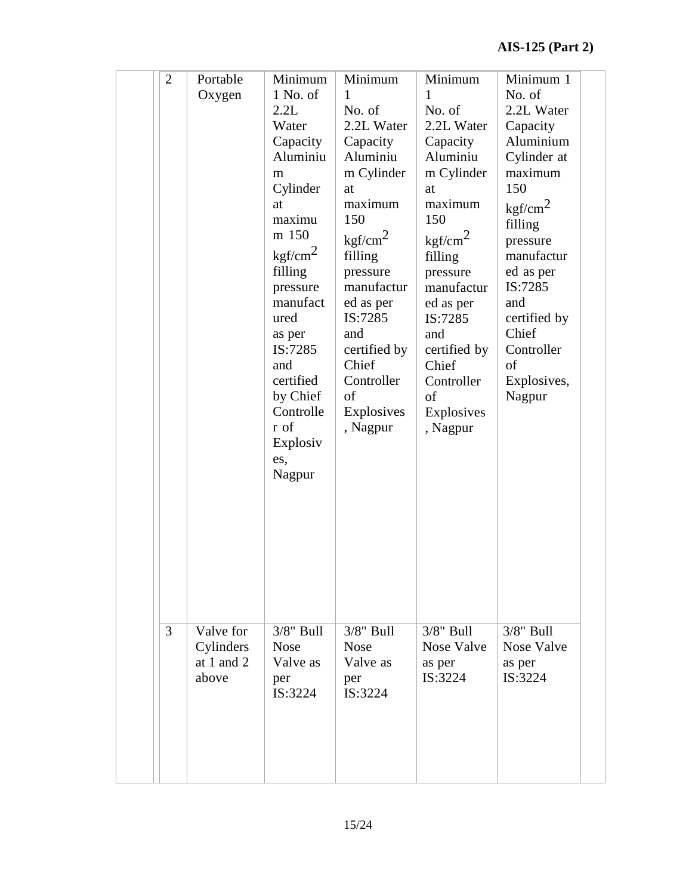| $\overline{2}$ | Portable<br>Oxygen                              | Minimum<br>$1$ No. of<br>2.2L<br>Water<br>Capacity<br>Aluminiu<br>m<br>Cylinder<br>at<br>maximu<br>m 150<br>kgf/cm <sup>2</sup><br>filling<br>pressure<br>manufact<br>ured<br>as per<br>IS:7285<br>and<br>certified<br>by Chief<br>Controlle<br>r of<br>Explosiv<br>es,<br>Nagpur | Minimum<br>1<br>No. of<br>2.2L Water<br>Capacity<br>Aluminiu<br>m Cylinder<br>at<br>maximum<br>150<br>kgf/cm <sup>2</sup><br>filling<br>pressure<br>manufactur<br>ed as per<br>IS:7285<br>and<br>certified by<br>Chief<br>Controller<br>of<br>Explosives<br>, Nagpur | Minimum<br>1<br>No. of<br>2.2L Water<br>Capacity<br>Aluminiu<br>m Cylinder<br>at<br>maximum<br>150<br>$\text{kgf/cm}^2$<br>filling<br>pressure<br>manufactur<br>ed as per<br>IS:7285<br>and<br>certified by<br>Chief<br>Controller<br>of<br>Explosives<br>, Nagpur | Minimum 1<br>No. of<br>2.2L Water<br>Capacity<br>Aluminium<br>Cylinder at<br>maximum<br>150<br>kgf/cm <sup>2</sup><br>filling<br>pressure<br>manufactur<br>ed as per<br>IS:7285<br>and<br>certified by<br>Chief<br>Controller<br>of<br>Explosives,<br>Nagpur |  |
|----------------|-------------------------------------------------|-----------------------------------------------------------------------------------------------------------------------------------------------------------------------------------------------------------------------------------------------------------------------------------|----------------------------------------------------------------------------------------------------------------------------------------------------------------------------------------------------------------------------------------------------------------------|--------------------------------------------------------------------------------------------------------------------------------------------------------------------------------------------------------------------------------------------------------------------|--------------------------------------------------------------------------------------------------------------------------------------------------------------------------------------------------------------------------------------------------------------|--|
| 3              | Valve for<br>Cylinders<br>at 1 and $2$<br>above | $3/8$ " Bull<br><b>Nose</b><br>Valve as<br>per<br>IS:3224                                                                                                                                                                                                                         | $3/8$ " Bull<br><b>Nose</b><br>Valve as<br>per<br>IS:3224                                                                                                                                                                                                            | $3/8$ " Bull<br><b>Nose Valve</b><br>as per<br>IS:3224                                                                                                                                                                                                             | $3/8$ " Bull<br>Nose Valve<br>as per<br>IS:3224                                                                                                                                                                                                              |  |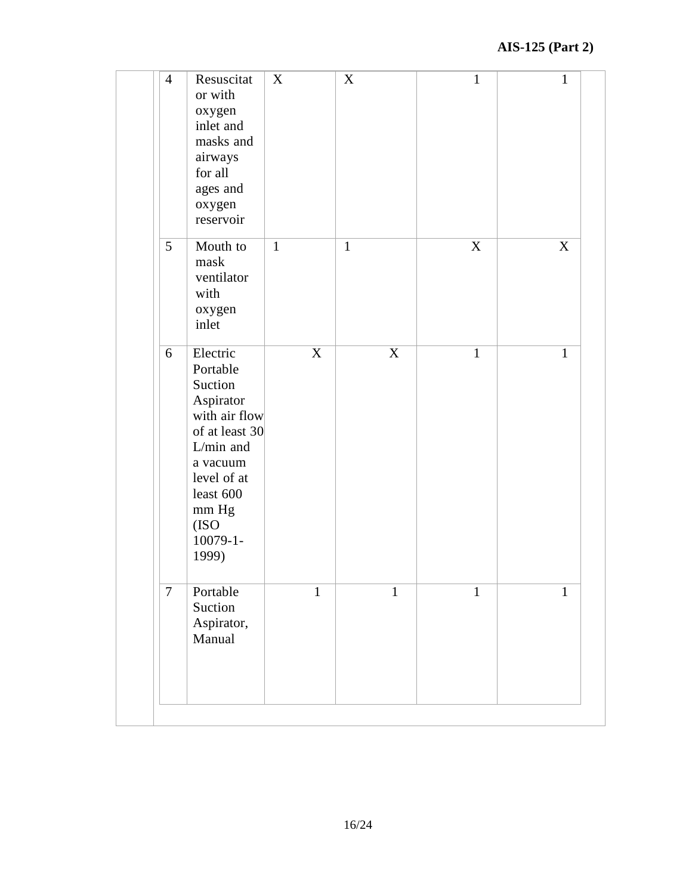| $\overline{4}$  | Resuscitat<br>or with<br>oxygen<br>inlet and<br>masks and<br>airways<br>for all<br>ages and<br>oxygen<br>reservoir                                                              | X            | $\mathbf X$  | $\mathbf{1}$ | $\mathbf{1}$ |
|-----------------|---------------------------------------------------------------------------------------------------------------------------------------------------------------------------------|--------------|--------------|--------------|--------------|
| $5\overline{)}$ | Mouth to<br>mask<br>ventilator<br>with<br>oxygen<br>inlet                                                                                                                       | $\mathbf{1}$ | $\mathbf{1}$ | X            | X            |
| 6               | Electric<br>Portable<br>Suction<br>Aspirator<br>with air flow<br>of at least 30<br>L/min and<br>a vacuum<br>level of at<br>least 600<br>mm Hg<br>(ISO<br>$10079 - 1 -$<br>1999) | X            | X            | $\mathbf{1}$ | $\mathbf{1}$ |
| $\overline{7}$  | Portable<br>Suction<br>Aspirator,<br>Manual                                                                                                                                     | $\mathbf{1}$ | $\mathbf{1}$ | $\mathbf{1}$ | $\mathbf{1}$ |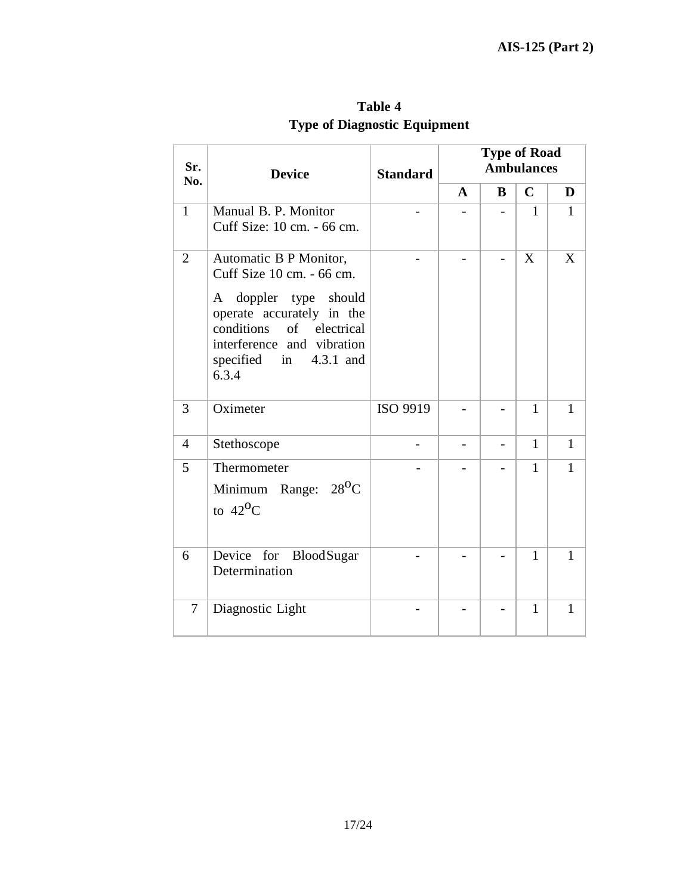| Sr.<br>No.     | <b>Device</b>                                                                                                                                                                                                   | <b>Standard</b> |   | <b>Type of Road</b> | <b>Ambulances</b> |              |
|----------------|-----------------------------------------------------------------------------------------------------------------------------------------------------------------------------------------------------------------|-----------------|---|---------------------|-------------------|--------------|
|                |                                                                                                                                                                                                                 |                 | A | B                   | $\mathbf C$       | D            |
| $\mathbf{1}$   | Manual B. P. Monitor<br>Cuff Size: 10 cm. - 66 cm.                                                                                                                                                              |                 |   |                     | 1                 | 1            |
| $\overline{2}$ | Automatic B P Monitor,<br>Cuff Size 10 cm. - 66 cm.<br>doppler type<br>should<br>A<br>operate accurately in the<br>conditions<br>of electrical<br>interference and vibration<br>specified in 4.3.1 and<br>6.3.4 |                 |   |                     | X                 | X            |
| 3              | Oximeter                                                                                                                                                                                                        | ISO 9919        |   |                     | $\mathbf{1}$      | $\mathbf{1}$ |
| $\overline{4}$ | Stethoscope                                                                                                                                                                                                     |                 |   | -                   | $\mathbf{1}$      | $\mathbf{1}$ |
| 5              | Thermometer<br>$28^{\rm O}C$<br>Minimum Range:<br>to $42^{\circ}$ C                                                                                                                                             |                 |   |                     | 1                 | $\mathbf{1}$ |
| 6              | Device for<br><b>BloodSugar</b><br>Determination                                                                                                                                                                |                 |   |                     | 1                 | 1            |
| $\tau$         | Diagnostic Light                                                                                                                                                                                                |                 |   |                     | 1                 | 1            |

**Table 4 Type of Diagnostic Equipment**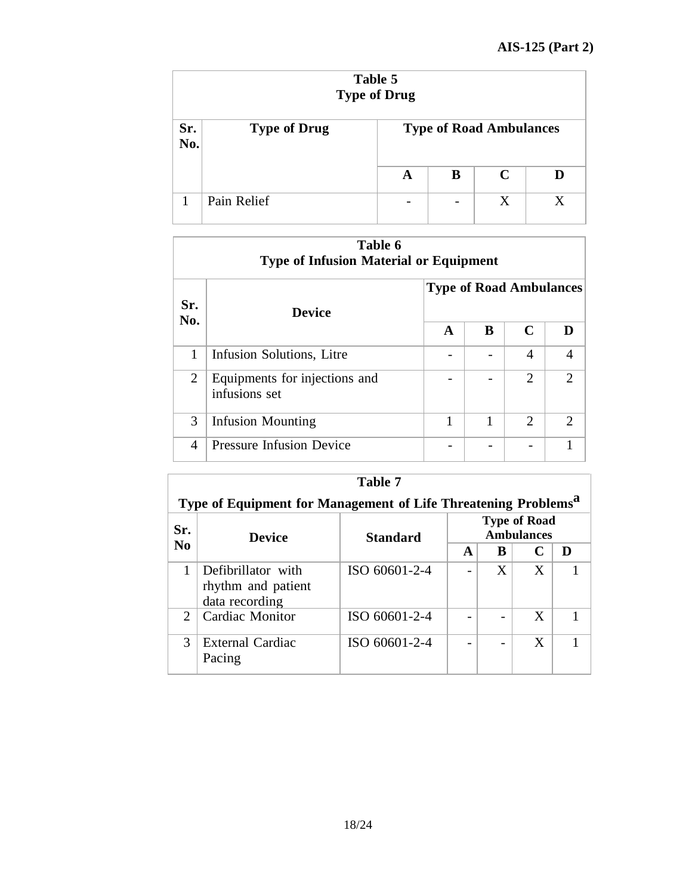|            | Table 5<br><b>Type of Drug</b> |                          |                          |                                |   |  |  |  |
|------------|--------------------------------|--------------------------|--------------------------|--------------------------------|---|--|--|--|
| Sr.<br>No. | <b>Type of Drug</b>            |                          |                          | <b>Type of Road Ambulances</b> |   |  |  |  |
|            |                                | A                        | B                        | $\mathbf C$                    | D |  |  |  |
|            | Pain Relief                    | $\overline{\phantom{0}}$ | $\overline{\phantom{0}}$ | Χ                              | X |  |  |  |

|                | Table 6<br><b>Type of Infusion Material or Equipment</b> |                                |   |                |                             |  |  |  |
|----------------|----------------------------------------------------------|--------------------------------|---|----------------|-----------------------------|--|--|--|
| Sr.            | <b>Device</b>                                            | <b>Type of Road Ambulances</b> |   |                |                             |  |  |  |
| No.            |                                                          | $\mathbf{A}$                   | B | C              | D                           |  |  |  |
| 1              | Infusion Solutions, Litre                                |                                |   | 4              | 4                           |  |  |  |
| $\overline{2}$ | Equipments for injections and<br>infusions set           |                                |   | $\overline{2}$ | $\mathcal{D}_{\mathcal{L}}$ |  |  |  |
| 3              | <b>Infusion Mounting</b>                                 | 1                              | 1 | 2              | $\mathcal{D}_{\mathcal{L}}$ |  |  |  |
| 4              | <b>Pressure Infusion Device</b>                          |                                |   |                |                             |  |  |  |

|                | Table 7                                                                    |               |   |   |                                          |   |  |  |  |
|----------------|----------------------------------------------------------------------------|---------------|---|---|------------------------------------------|---|--|--|--|
|                | Type of Equipment for Management of Life Threatening Problems <sup>a</sup> |               |   |   |                                          |   |  |  |  |
| Sr.            | <b>Device</b>                                                              | Standard      |   |   | <b>Type of Road</b><br><b>Ambulances</b> |   |  |  |  |
| N <sub>0</sub> |                                                                            |               | A | B |                                          | D |  |  |  |
|                | Defibrillator with<br>rhythm and patient<br>data recording                 | ISO 60601-2-4 |   | X | X                                        |   |  |  |  |
| $\mathcal{D}$  | Cardiac Monitor                                                            | ISO 60601-2-4 |   |   | X                                        |   |  |  |  |
| 3              | External Cardiac<br>Pacing                                                 | ISO 60601-2-4 |   |   | X                                        |   |  |  |  |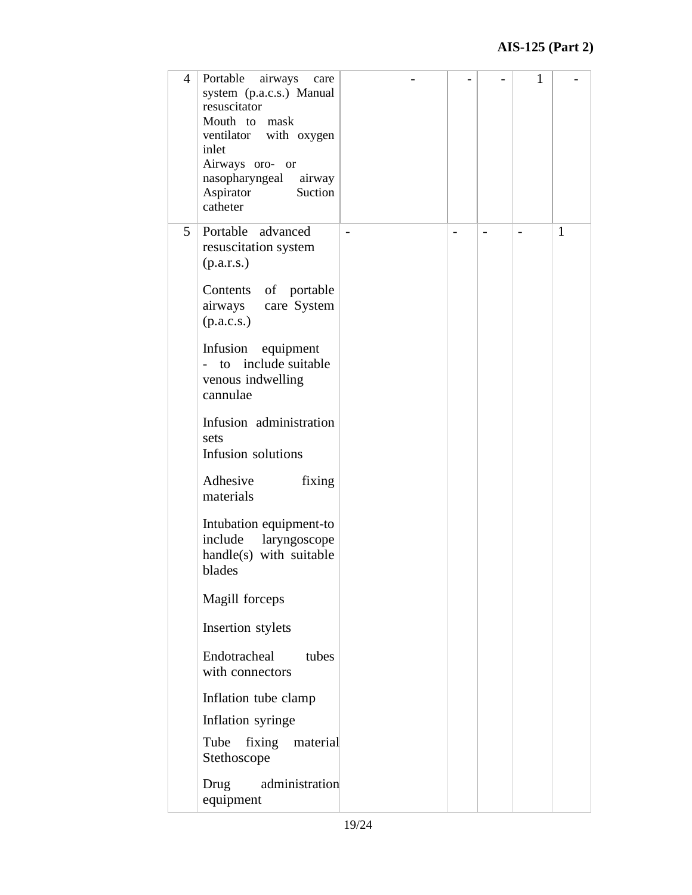| $\overline{4}$ | Portable<br>airways<br>care<br>system (p.a.c.s.) Manual<br>resuscitator<br>Mouth to mask<br>ventilator with oxygen<br>inlet<br>Airways oro- or<br>nasopharyngeal airway<br>Suction<br>Aspirator<br>catheter |  | 1 |   |
|----------------|-------------------------------------------------------------------------------------------------------------------------------------------------------------------------------------------------------------|--|---|---|
| 5              | Portable advanced<br>resuscitation system<br>(p.a.r.s.)                                                                                                                                                     |  |   | 1 |
|                | Contents of portable<br>airways care System<br>(p.a.c.s.)                                                                                                                                                   |  |   |   |
|                | Infusion equipment<br>- to include suitable<br>venous indwelling<br>cannulae                                                                                                                                |  |   |   |
|                | Infusion administration<br>sets<br>Infusion solutions                                                                                                                                                       |  |   |   |
|                | Adhesive<br>fixing<br>materials                                                                                                                                                                             |  |   |   |
|                | Intubation equipment-to<br>include<br>laryngoscope<br>handle(s) with suitable<br>blades                                                                                                                     |  |   |   |
|                | Magill forceps                                                                                                                                                                                              |  |   |   |
|                | Insertion stylets                                                                                                                                                                                           |  |   |   |
|                | Endotracheal<br>tubes<br>with connectors                                                                                                                                                                    |  |   |   |
|                | Inflation tube clamp                                                                                                                                                                                        |  |   |   |
|                | Inflation syringe                                                                                                                                                                                           |  |   |   |
|                | fixing material<br>Tube<br>Stethoscope                                                                                                                                                                      |  |   |   |
|                | administration<br>Drug<br>equipment                                                                                                                                                                         |  |   |   |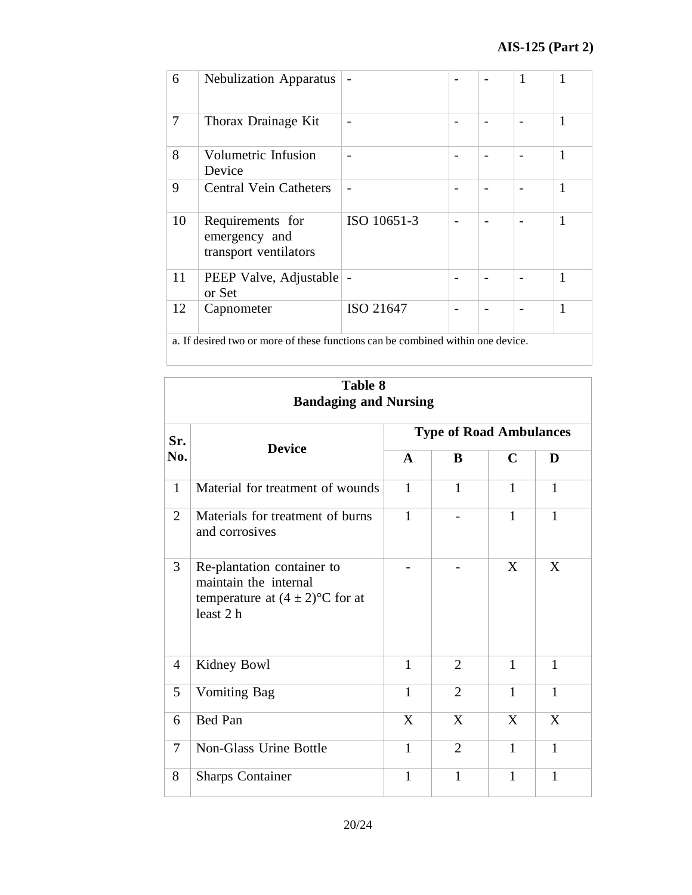| 6                                                                               | <b>Nebulization Apparatus</b>                              |             |  |  | 1 | 1            |
|---------------------------------------------------------------------------------|------------------------------------------------------------|-------------|--|--|---|--------------|
| 7                                                                               | Thorax Drainage Kit                                        | -           |  |  |   | 1            |
| 8                                                                               | Volumetric Infusion<br>Device                              | -           |  |  |   | 1            |
| 9                                                                               | <b>Central Vein Catheters</b>                              | -           |  |  |   | 1            |
| 10                                                                              | Requirements for<br>emergency and<br>transport ventilators | ISO 10651-3 |  |  |   | 1            |
| 11                                                                              | PEEP Valve, Adjustable<br>or Set                           |             |  |  |   | 1            |
| 12                                                                              | Capnometer                                                 | ISO 21647   |  |  |   | $\mathbf{1}$ |
| a. If desired two or more of these functions can be combined within one device. |                                                            |             |  |  |   |              |

|                | Table 8<br><b>Bandaging and Nursing</b>                                                                  |              |                                |              |              |  |  |  |
|----------------|----------------------------------------------------------------------------------------------------------|--------------|--------------------------------|--------------|--------------|--|--|--|
| Sr.            |                                                                                                          |              | <b>Type of Road Ambulances</b> |              |              |  |  |  |
| No.            | <b>Device</b>                                                                                            | $\mathbf{A}$ | B                              | $\mathbf C$  | D            |  |  |  |
| $\mathbf{1}$   | Material for treatment of wounds                                                                         | $\mathbf{1}$ | $\mathbf{1}$                   | $\mathbf{1}$ | $\mathbf{1}$ |  |  |  |
| $\overline{2}$ | Materials for treatment of burns<br>and corrosives                                                       | $\mathbf{1}$ |                                | $\mathbf{1}$ | $\mathbf{1}$ |  |  |  |
| 3              | Re-plantation container to<br>maintain the internal<br>temperature at $(4 \pm 2)$ °C for at<br>least 2 h |              |                                | X            | X            |  |  |  |
| $\overline{4}$ | Kidney Bowl                                                                                              | $\mathbf{1}$ | $\overline{2}$                 | $\mathbf{1}$ | $\mathbf{1}$ |  |  |  |
| 5              | <b>Vomiting Bag</b>                                                                                      | 1            | $\overline{2}$                 | 1            | 1            |  |  |  |
| 6              | Bed Pan                                                                                                  | X            | X                              | X            | X            |  |  |  |
| $\tau$         | <b>Non-Glass Urine Bottle</b>                                                                            | 1            | $\overline{2}$                 | 1            | 1            |  |  |  |
| 8              | <b>Sharps Container</b>                                                                                  | $\mathbf{1}$ | $\mathbf{1}$                   | 1            | 1            |  |  |  |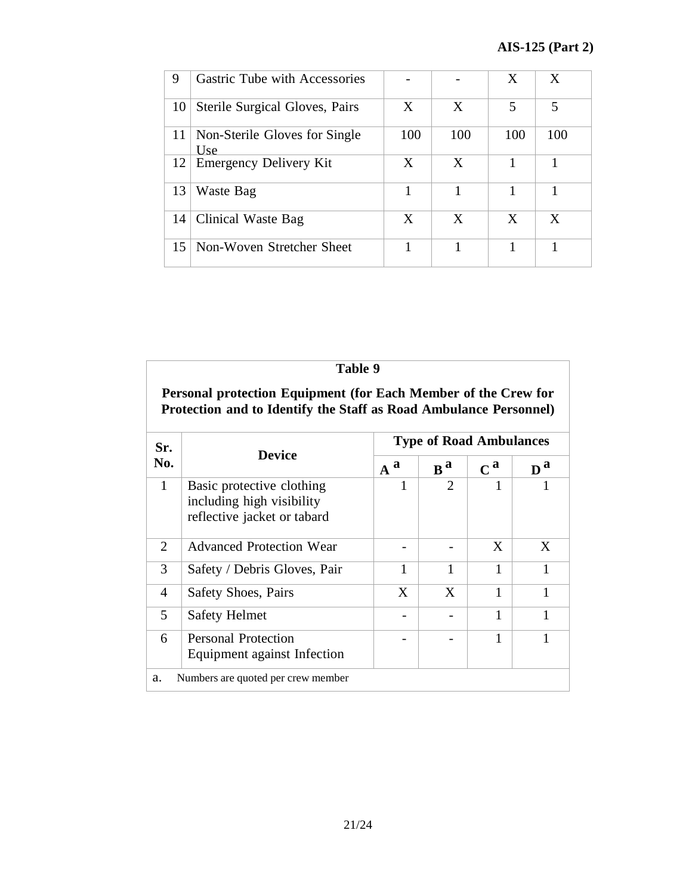| 9               | <b>Gastric Tube with Accessories</b> |     |     | X              | X   |
|-----------------|--------------------------------------|-----|-----|----------------|-----|
| 10              | Sterile Surgical Gloves, Pairs       | X   | X   | $\overline{5}$ | 5   |
| 11              | Non-Sterile Gloves for Single<br>Use | 100 | 100 | 100            | 100 |
| 12              | Emergency Delivery Kit               | X   | X   |                |     |
| 13              | Waste Bag                            |     |     |                |     |
| 14              | Clinical Waste Bag                   | X   | X   | X              | X   |
| 15 <sup>1</sup> | Non-Woven Stretcher Sheet            |     |     |                |     |

|                | Table 9                                                                                                                             |       |                                |                           |                           |
|----------------|-------------------------------------------------------------------------------------------------------------------------------------|-------|--------------------------------|---------------------------|---------------------------|
|                | Personal protection Equipment (for Each Member of the Crew for<br>Protection and to Identify the Staff as Road Ambulance Personnel) |       |                                |                           |                           |
| Sr.            |                                                                                                                                     |       | <b>Type of Road Ambulances</b> |                           |                           |
| No.            | <b>Device</b>                                                                                                                       | $A^a$ | $\mathbf{B}^{\mathbf{a}}$      | $\mathbf{C}^{\mathbf{a}}$ | $\mathbf{D}^{\mathbf{a}}$ |
| $\mathbf{1}$   | Basic protective clothing<br>including high visibility<br>reflective jacket or tabard                                               | 1     | $\mathcal{D}_{\mathcal{L}}$    |                           |                           |
| $\overline{2}$ | <b>Advanced Protection Wear</b>                                                                                                     |       |                                | X                         | X                         |
| 3              | Safety / Debris Gloves, Pair                                                                                                        | 1     | 1                              | 1                         | 1                         |
| 4              | <b>Safety Shoes, Pairs</b>                                                                                                          | X     | X                              | $\mathbf{1}$              | $\mathbf{1}$              |
| 5              | <b>Safety Helmet</b>                                                                                                                |       |                                | 1                         | 1                         |
| 6              | <b>Personal Protection</b><br>Equipment against Infection                                                                           |       |                                | 1                         | 1                         |
| a.             | Numbers are quoted per crew member                                                                                                  |       |                                |                           |                           |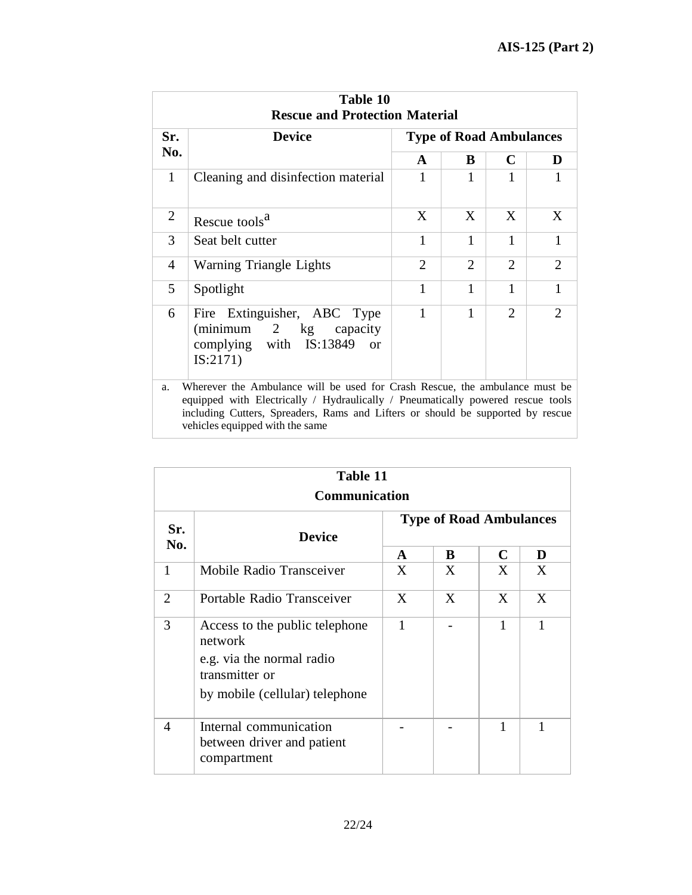|                | Table 10<br><b>Rescue and Protection Material</b>                                                                                                              |                |                                |                             |               |  |  |  |
|----------------|----------------------------------------------------------------------------------------------------------------------------------------------------------------|----------------|--------------------------------|-----------------------------|---------------|--|--|--|
| Sr.            | <b>Device</b>                                                                                                                                                  |                | <b>Type of Road Ambulances</b> |                             |               |  |  |  |
| No.            |                                                                                                                                                                | $\mathbf{A}$   | B                              | $\mathbf C$                 | D             |  |  |  |
| 1              | Cleaning and disinfection material                                                                                                                             | 1              | 1                              |                             |               |  |  |  |
| $\overline{2}$ | Rescue tools <sup>a</sup>                                                                                                                                      | X              | X                              | X                           | X             |  |  |  |
| 3              | Seat belt cutter                                                                                                                                               | 1              | 1                              | 1                           | 1             |  |  |  |
| $\overline{4}$ | Warning Triangle Lights                                                                                                                                        | $\overline{2}$ | $\overline{2}$                 | $\overline{2}$              | 2             |  |  |  |
| 5              | Spotlight                                                                                                                                                      | 1              | 1                              | 1                           | 1             |  |  |  |
| 6              | Fire Extinguisher, ABC Type<br>$(\text{minimum} \quad 2 \quad \text{kg})$<br>capacity<br>complying with IS:13849<br><sub>or</sub><br>IS:2171)                  | 1              | 1                              | $\mathcal{D}_{\mathcal{L}}$ | $\mathcal{D}$ |  |  |  |
| a.             | Wherever the Ambulance will be used for Crash Rescue, the ambulance must be<br>equipped with Electrically / Hydraulically / Pneumatically powered rescue tools |                |                                |                             |               |  |  |  |

including Cutters, Spreaders, Rams and Lifters or should be supported by rescue vehicles equipped with the same

|                | Table 11<br>Communication                                                                |   |                                |   |   |  |  |  |
|----------------|------------------------------------------------------------------------------------------|---|--------------------------------|---|---|--|--|--|
| Sr.            | <b>Device</b><br>No.                                                                     |   | <b>Type of Road Ambulances</b> |   |   |  |  |  |
|                |                                                                                          |   | B                              | C | D |  |  |  |
| 1              | Mobile Radio Transceiver                                                                 | X | X                              | X | X |  |  |  |
| $\overline{2}$ | Portable Radio Transceiver                                                               | X | X                              | X | X |  |  |  |
| 3              | Access to the public telephone<br>network<br>e.g. via the normal radio<br>transmitter or |   |                                | 1 | 1 |  |  |  |
|                | by mobile (cellular) telephone                                                           |   |                                |   |   |  |  |  |
| 4              | Internal communication<br>between driver and patient<br>compartment                      |   |                                | 1 | 1 |  |  |  |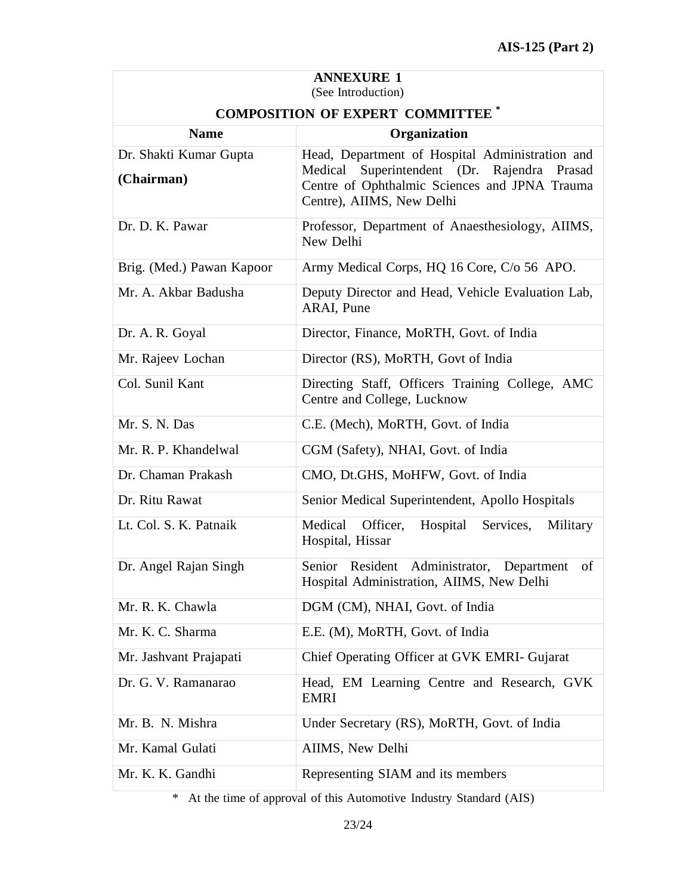| <b>ANNEXURE 1</b><br>(See Introduction) |                                                                                                                                                       |  |  |  |  |
|-----------------------------------------|-------------------------------------------------------------------------------------------------------------------------------------------------------|--|--|--|--|
| <b>COMPOSITION OF EXPERT COMMITTEE</b>  |                                                                                                                                                       |  |  |  |  |
| <b>Name</b>                             | Organization                                                                                                                                          |  |  |  |  |
| Dr. Shakti Kumar Gupta<br>(Chairman)    | Head, Department of Hospital Administration and<br>Superintendent (Dr. Rajendra<br>Prasad<br>Medical<br>Centre of Ophthalmic Sciences and JPNA Trauma |  |  |  |  |
|                                         | Centre), AIIMS, New Delhi                                                                                                                             |  |  |  |  |
| Dr. D. K. Pawar                         | Professor, Department of Anaesthesiology, AIIMS,<br>New Delhi                                                                                         |  |  |  |  |
| Brig. (Med.) Pawan Kapoor               | Army Medical Corps, HQ 16 Core, C/o 56 APO.                                                                                                           |  |  |  |  |
| Mr. A. Akbar Badusha                    | Deputy Director and Head, Vehicle Evaluation Lab,<br>ARAI, Pune                                                                                       |  |  |  |  |
| Dr. A. R. Goyal                         | Director, Finance, MoRTH, Govt. of India                                                                                                              |  |  |  |  |
| Mr. Rajeev Lochan                       | Director (RS), MoRTH, Govt of India                                                                                                                   |  |  |  |  |
| Col. Sunil Kant                         | Directing Staff, Officers Training College, AMC<br>Centre and College, Lucknow                                                                        |  |  |  |  |
| Mr. S. N. Das                           | C.E. (Mech), MoRTH, Govt. of India                                                                                                                    |  |  |  |  |
| Mr. R. P. Khandelwal                    | CGM (Safety), NHAI, Govt. of India                                                                                                                    |  |  |  |  |
| Dr. Chaman Prakash                      | CMO, Dt.GHS, MoHFW, Govt. of India                                                                                                                    |  |  |  |  |
| Dr. Ritu Rawat                          | Senior Medical Superintendent, Apollo Hospitals                                                                                                       |  |  |  |  |
| Lt. Col. S. K. Patnaik                  | Hospital<br>Medical<br>Officer,<br>Services,<br>Military<br>Hospital, Hissar                                                                          |  |  |  |  |
| Dr. Angel Rajan Singh                   | Senior Resident Administrator,<br>Department<br>of<br>Hospital Administration, AIIMS, New Delhi                                                       |  |  |  |  |
| Mr. R. K. Chawla                        | DGM (CM), NHAI, Govt. of India                                                                                                                        |  |  |  |  |
| Mr. K. C. Sharma                        | E.E. (M), MoRTH, Govt. of India                                                                                                                       |  |  |  |  |
| Mr. Jashvant Prajapati                  | Chief Operating Officer at GVK EMRI- Gujarat                                                                                                          |  |  |  |  |
| Dr. G. V. Ramanarao                     | Head, EM Learning Centre and Research, GVK<br>EMRI                                                                                                    |  |  |  |  |
| Mr. B. N. Mishra                        | Under Secretary (RS), MoRTH, Govt. of India                                                                                                           |  |  |  |  |
| Mr. Kamal Gulati                        | AIIMS, New Delhi                                                                                                                                      |  |  |  |  |
| Mr. K. K. Gandhi                        | Representing SIAM and its members                                                                                                                     |  |  |  |  |

\* At the time of approval of this Automotive Industry Standard (AIS)